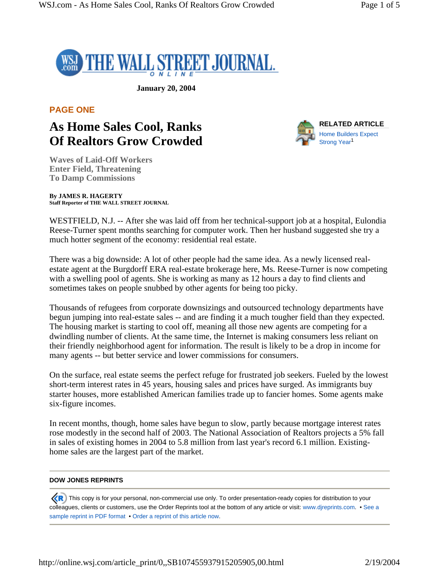

**January 20, 2004** 

## **PAGE ONE**

## **As Home Sales Cool, Ranks Of Realtors Grow Crowded**



**Waves of Laid-Off Workers Enter Field, Threatening To Damp Commissions** 

**By JAMES R. HAGERTY Staff Reporter of THE WALL STREET JOURNAL**

WESTFIELD, N.J. -- After she was laid off from her technical-support job at a hospital, Eulondia Reese-Turner spent months searching for computer work. Then her husband suggested she try a much hotter segment of the economy: residential real estate.

There was a big downside: A lot of other people had the same idea. As a newly licensed realestate agent at the Burgdorff ERA real-estate brokerage here, Ms. Reese-Turner is now competing with a swelling pool of agents. She is working as many as 12 hours a day to find clients and sometimes takes on people snubbed by other agents for being too picky.

Thousands of refugees from corporate downsizings and outsourced technology departments have begun jumping into real-estate sales -- and are finding it a much tougher field than they expected. The housing market is starting to cool off, meaning all those new agents are competing for a dwindling number of clients. At the same time, the Internet is making consumers less reliant on their friendly neighborhood agent for information. The result is likely to be a drop in income for many agents -- but better service and lower commissions for consumers.

On the surface, real estate seems the perfect refuge for frustrated job seekers. Fueled by the lowest short-term interest rates in 45 years, housing sales and prices have surged. As immigrants buy starter houses, more established American families trade up to fancier homes. Some agents make six-figure incomes.

In recent months, though, home sales have begun to slow, partly because mortgage interest rates rose modestly in the second half of 2003. The National Association of Realtors projects a 5% fall in sales of existing homes in 2004 to 5.8 million from last year's record 6.1 million. Existinghome sales are the largest part of the market.

## **DOW JONES REPRINTS**

**KR** This copy is for your personal, non-commercial use only. To order presentation-ready copies for distribution to your colleagues, clients or customers, use the Order Reprints tool at the bottom of any article or visit: www.djreprints.com. • See a sample reprint in PDF format • Order a reprint of this article now.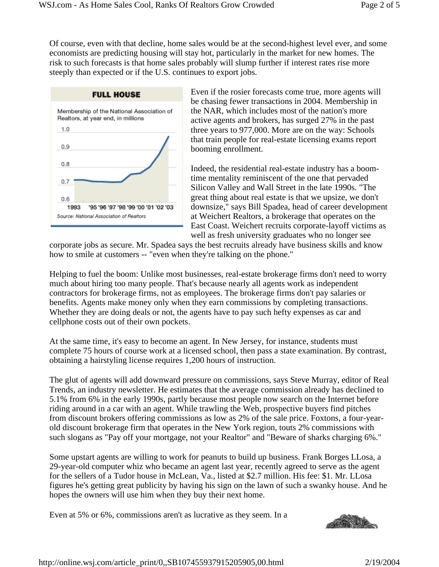Of course, even with that decline, home sales would be at the second-highest level ever, and some economists are predicting housing will stay hot, particularly in the market for new homes. The risk to such forecasts is that home sales probably will slump further if interest rates rise more steeply than expected or if the U.S. continues to export jobs.



Even if the rosier forecasts come true, more agents will be chasing fewer transactions in 2004. Membership in the NAR, which includes most of the nation's more active agents and brokers, has surged 27% in the past three years to 977,000. More are on the way: Schools that train people for real-estate licensing exams report booming enrollment.

Indeed, the residential real-estate industry has a boomtime mentality reminiscent of the one that pervaded Silicon Valley and Wall Street in the late 1990s. "The great thing about real estate is that we upsize, we don't downsize," says Bill Spadea, head of career development at Weichert Realtors, a brokerage that operates on the East Coast. Weichert recruits corporate-layoff victims as well as fresh university graduates who no longer see

corporate jobs as secure. Mr. Spadea says the best recruits already have business skills and know how to smile at customers -- "even when they're talking on the phone."

Helping to fuel the boom: Unlike most businesses, real-estate brokerage firms don't need to worry much about hiring too many people. That's because nearly all agents work as independent contractors for brokerage firms, not as employees. The brokerage firms don't pay salaries or benefits. Agents make money only when they earn commissions by completing transactions. Whether they are doing deals or not, the agents have to pay such hefty expenses as car and cellphone costs out of their own pockets.

At the same time, it's easy to become an agent. In New Jersey, for instance, students must complete 75 hours of course work at a licensed school, then pass a state examination. By contrast, obtaining a hairstyling license requires 1,200 hours of instruction.

The glut of agents will add downward pressure on commissions, says Steve Murray, editor of Real Trends, an industry newsletter. He estimates that the average commission already has declined to 5.1% from 6% in the early 1990s, partly because most people now search on the Internet before riding around in a car with an agent. While trawling the Web, prospective buyers find pitches from discount brokers offering commissions as low as 2% of the sale price. Foxtons, a four-yearold discount brokerage firm that operates in the New York region, touts 2% commissions with such slogans as "Pay off your mortgage, not your Realtor" and "Beware of sharks charging 6%."

Some upstart agents are willing to work for peanuts to build up business. Frank Borges LLosa, a 29-year-old computer whiz who became an agent last year, recently agreed to serve as the agent for the sellers of a Tudor house in McLean, Va., listed at \$2.7 million. His fee: \$1. Mr. LLosa figures he's getting great publicity by having his sign on the lawn of such a swanky house. And he hopes the owners will use him when they buy their next home.

Even at 5% or 6%, commissions aren't as lucrative as they seem. In a

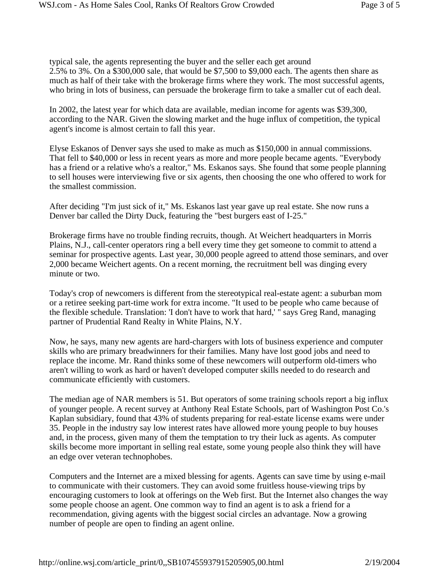typical sale, the agents representing the buyer and the seller each get around 2.5% to 3%. On a \$300,000 sale, that would be \$7,500 to \$9,000 each. The agents then share as much as half of their take with the brokerage firms where they work. The most successful agents, who bring in lots of business, can persuade the brokerage firm to take a smaller cut of each deal.

In 2002, the latest year for which data are available, median income for agents was \$39,300, according to the NAR. Given the slowing market and the huge influx of competition, the typical agent's income is almost certain to fall this year.

Elyse Eskanos of Denver says she used to make as much as \$150,000 in annual commissions. That fell to \$40,000 or less in recent years as more and more people became agents. "Everybody has a friend or a relative who's a realtor," Ms. Eskanos says. She found that some people planning to sell houses were interviewing five or six agents, then choosing the one who offered to work for the smallest commission.

After deciding "I'm just sick of it," Ms. Eskanos last year gave up real estate. She now runs a Denver bar called the Dirty Duck, featuring the "best burgers east of I-25."

Brokerage firms have no trouble finding recruits, though. At Weichert headquarters in Morris Plains, N.J., call-center operators ring a bell every time they get someone to commit to attend a seminar for prospective agents. Last year, 30,000 people agreed to attend those seminars, and over 2,000 became Weichert agents. On a recent morning, the recruitment bell was dinging every minute or two.

Today's crop of newcomers is different from the stereotypical real-estate agent: a suburban mom or a retiree seeking part-time work for extra income. "It used to be people who came because of the flexible schedule. Translation: 'I don't have to work that hard,' " says Greg Rand, managing partner of Prudential Rand Realty in White Plains, N.Y.

Now, he says, many new agents are hard-chargers with lots of business experience and computer skills who are primary breadwinners for their families. Many have lost good jobs and need to replace the income. Mr. Rand thinks some of these newcomers will outperform old-timers who aren't willing to work as hard or haven't developed computer skills needed to do research and communicate efficiently with customers.

The median age of NAR members is 51. But operators of some training schools report a big influx of younger people. A recent survey at Anthony Real Estate Schools, part of Washington Post Co.'s Kaplan subsidiary, found that 43% of students preparing for real-estate license exams were under 35. People in the industry say low interest rates have allowed more young people to buy houses and, in the process, given many of them the temptation to try their luck as agents. As computer skills become more important in selling real estate, some young people also think they will have an edge over veteran technophobes.

Computers and the Internet are a mixed blessing for agents. Agents can save time by using e-mail to communicate with their customers. They can avoid some fruitless house-viewing trips by encouraging customers to look at offerings on the Web first. But the Internet also changes the way some people choose an agent. One common way to find an agent is to ask a friend for a recommendation, giving agents with the biggest social circles an advantage. Now a growing number of people are open to finding an agent online.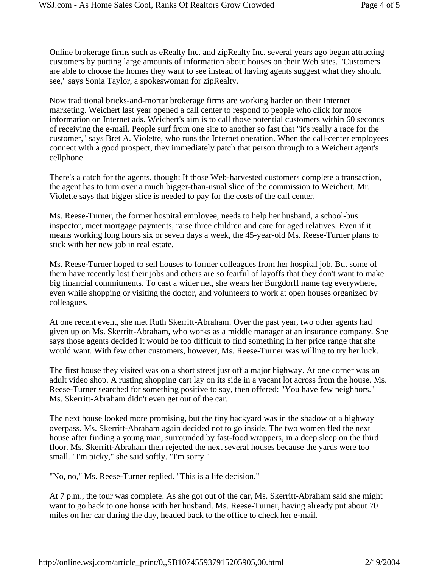Online brokerage firms such as eRealty Inc. and zipRealty Inc. several years ago began attracting customers by putting large amounts of information about houses on their Web sites. "Customers are able to choose the homes they want to see instead of having agents suggest what they should see," says Sonia Taylor, a spokeswoman for zipRealty.

Now traditional bricks-and-mortar brokerage firms are working harder on their Internet marketing. Weichert last year opened a call center to respond to people who click for more information on Internet ads. Weichert's aim is to call those potential customers within 60 seconds of receiving the e-mail. People surf from one site to another so fast that "it's really a race for the customer," says Bret A. Violette, who runs the Internet operation. When the call-center employees connect with a good prospect, they immediately patch that person through to a Weichert agent's cellphone.

There's a catch for the agents, though: If those Web-harvested customers complete a transaction, the agent has to turn over a much bigger-than-usual slice of the commission to Weichert. Mr. Violette says that bigger slice is needed to pay for the costs of the call center.

Ms. Reese-Turner, the former hospital employee, needs to help her husband, a school-bus inspector, meet mortgage payments, raise three children and care for aged relatives. Even if it means working long hours six or seven days a week, the 45-year-old Ms. Reese-Turner plans to stick with her new job in real estate.

Ms. Reese-Turner hoped to sell houses to former colleagues from her hospital job. But some of them have recently lost their jobs and others are so fearful of layoffs that they don't want to make big financial commitments. To cast a wider net, she wears her Burgdorff name tag everywhere, even while shopping or visiting the doctor, and volunteers to work at open houses organized by colleagues.

At one recent event, she met Ruth Skerritt-Abraham. Over the past year, two other agents had given up on Ms. Skerritt-Abraham, who works as a middle manager at an insurance company. She says those agents decided it would be too difficult to find something in her price range that she would want. With few other customers, however, Ms. Reese-Turner was willing to try her luck.

The first house they visited was on a short street just off a major highway. At one corner was an adult video shop. A rusting shopping cart lay on its side in a vacant lot across from the house. Ms. Reese-Turner searched for something positive to say, then offered: "You have few neighbors." Ms. Skerritt-Abraham didn't even get out of the car.

The next house looked more promising, but the tiny backyard was in the shadow of a highway overpass. Ms. Skerritt-Abraham again decided not to go inside. The two women fled the next house after finding a young man, surrounded by fast-food wrappers, in a deep sleep on the third floor. Ms. Skerritt-Abraham then rejected the next several houses because the yards were too small. "I'm picky," she said softly. "I'm sorry."

"No, no," Ms. Reese-Turner replied. "This is a life decision."

At 7 p.m., the tour was complete. As she got out of the car, Ms. Skerritt-Abraham said she might want to go back to one house with her husband. Ms. Reese-Turner, having already put about 70 miles on her car during the day, headed back to the office to check her e-mail.